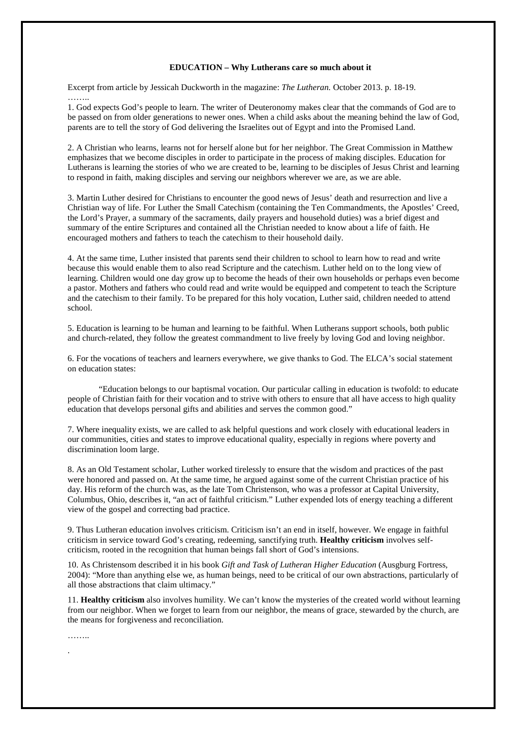## **EDUCATION – Why Lutherans care so much about it**

Excerpt from article by Jessicah Duckworth in the magazine: *The Lutheran.* October 2013. p. 18-19. ……..

1. God expects God's people to learn. The writer of Deuteronomy makes clear that the commands of God are to be passed on from older generations to newer ones. When a child asks about the meaning behind the law of God, parents are to tell the story of God delivering the Israelites out of Egypt and into the Promised Land.

2. A Christian who learns, learns not for herself alone but for her neighbor. The Great Commission in Matthew emphasizes that we become disciples in order to participate in the process of making disciples. Education for Lutherans is learning the stories of who we are created to be, learning to be disciples of Jesus Christ and learning to respond in faith, making disciples and serving our neighbors wherever we are, as we are able.

3. Martin Luther desired for Christians to encounter the good news of Jesus' death and resurrection and live a Christian way of life. For Luther the Small Catechism (containing the Ten Commandments, the Apostles' Creed, the Lord's Prayer, a summary of the sacraments, daily prayers and household duties) was a brief digest and summary of the entire Scriptures and contained all the Christian needed to know about a life of faith. He encouraged mothers and fathers to teach the catechism to their household daily.

4. At the same time, Luther insisted that parents send their children to school to learn how to read and write because this would enable them to also read Scripture and the catechism. Luther held on to the long view of learning. Children would one day grow up to become the heads of their own households or perhaps even become a pastor. Mothers and fathers who could read and write would be equipped and competent to teach the Scripture and the catechism to their family. To be prepared for this holy vocation, Luther said, children needed to attend school.

5. Education is learning to be human and learning to be faithful. When Lutherans support schools, both public and church-related, they follow the greatest commandment to live freely by loving God and loving neighbor.

6. For the vocations of teachers and learners everywhere, we give thanks to God. The ELCA's social statement on education states:

 "Education belongs to our baptismal vocation. Our particular calling in education is twofold: to educate people of Christian faith for their vocation and to strive with others to ensure that all have access to high quality education that develops personal gifts and abilities and serves the common good."

7. Where inequality exists, we are called to ask helpful questions and work closely with educational leaders in our communities, cities and states to improve educational quality, especially in regions where poverty and discrimination loom large.

8. As an Old Testament scholar, Luther worked tirelessly to ensure that the wisdom and practices of the past were honored and passed on. At the same time, he argued against some of the current Christian practice of his day. His reform of the church was, as the late Tom Christenson, who was a professor at Capital University, Columbus, Ohio, describes it, "an act of faithful criticism." Luther expended lots of energy teaching a different view of the gospel and correcting bad practice.

9. Thus Lutheran education involves criticism. Criticism isn't an end in itself, however. We engage in faithful criticism in service toward God's creating, redeeming, sanctifying truth. **Healthy criticism** involves selfcriticism, rooted in the recognition that human beings fall short of God's intensions.

10. As Christensom described it in his book *Gift and Task of Lutheran Higher Education* (Ausgburg Fortress, 2004): "More than anything else we, as human beings, need to be critical of our own abstractions, particularly of all those abstractions that claim ultimacy."

11. **Healthy criticism** also involves humility. We can't know the mysteries of the created world without learning from our neighbor. When we forget to learn from our neighbor, the means of grace, stewarded by the church, are the means for forgiveness and reconciliation.

……..

.